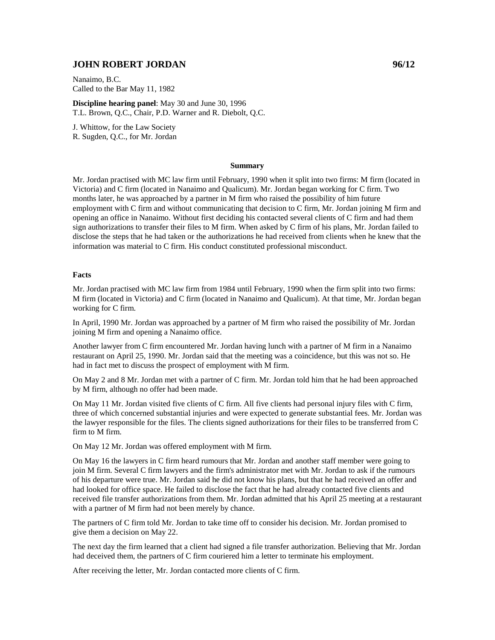## **JOHN ROBERT JORDAN** 96/12

Nanaimo, B.C. Called to the Bar May 11, 1982

**Discipline hearing panel**: May 30 and June 30, 1996 T.L. Brown, Q.C., Chair, P.D. Warner and R. Diebolt, Q.C.

J. Whittow, for the Law Society R. Sugden, Q.C., for Mr. Jordan

## **Summary**

Mr. Jordan practised with MC law firm until February, 1990 when it split into two firms: M firm (located in Victoria) and C firm (located in Nanaimo and Qualicum). Mr. Jordan began working for C firm. Two months later, he was approached by a partner in M firm who raised the possibility of him future employment with C firm and without communicating that decision to C firm, Mr. Jordan joining M firm and opening an office in Nanaimo. Without first deciding his contacted several clients of C firm and had them sign authorizations to transfer their files to M firm. When asked by C firm of his plans, Mr. Jordan failed to disclose the steps that he had taken or the authorizations he had received from clients when he knew that the information was material to C firm. His conduct constituted professional misconduct.

## **Facts**

Mr. Jordan practised with MC law firm from 1984 until February, 1990 when the firm split into two firms: M firm (located in Victoria) and C firm (located in Nanaimo and Qualicum). At that time, Mr. Jordan began working for C firm.

In April, 1990 Mr. Jordan was approached by a partner of M firm who raised the possibility of Mr. Jordan joining M firm and opening a Nanaimo office.

Another lawyer from C firm encountered Mr. Jordan having lunch with a partner of M firm in a Nanaimo restaurant on April 25, 1990. Mr. Jordan said that the meeting was a coincidence, but this was not so. He had in fact met to discuss the prospect of employment with M firm.

On May 2 and 8 Mr. Jordan met with a partner of C firm. Mr. Jordan told him that he had been approached by M firm, although no offer had been made.

On May 11 Mr. Jordan visited five clients of C firm. All five clients had personal injury files with C firm, three of which concerned substantial injuries and were expected to generate substantial fees. Mr. Jordan was the lawyer responsible for the files. The clients signed authorizations for their files to be transferred from C firm to M firm.

On May 12 Mr. Jordan was offered employment with M firm.

On May 16 the lawyers in C firm heard rumours that Mr. Jordan and another staff member were going to join M firm. Several C firm lawyers and the firm's administrator met with Mr. Jordan to ask if the rumours of his departure were true. Mr. Jordan said he did not know his plans, but that he had received an offer and had looked for office space. He failed to disclose the fact that he had already contacted five clients and received file transfer authorizations from them. Mr. Jordan admitted that his April 25 meeting at a restaurant with a partner of M firm had not been merely by chance.

The partners of C firm told Mr. Jordan to take time off to consider his decision. Mr. Jordan promised to give them a decision on May 22.

The next day the firm learned that a client had signed a file transfer authorization. Believing that Mr. Jordan had deceived them, the partners of C firm couriered him a letter to terminate his employment.

After receiving the letter, Mr. Jordan contacted more clients of C firm.